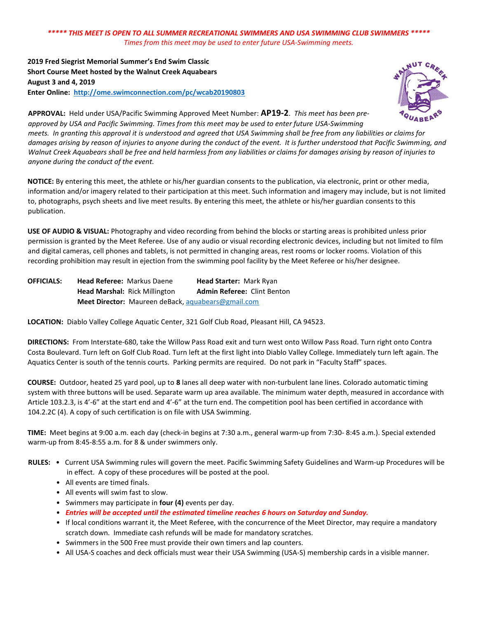**2019 Fred Siegrist Memorial Summer's End Swim Classic Short Course Meet hosted by the Walnut Creek Aquabears August 3 and 4, 2019 Enter Online:<http://ome.swimconnection.com/pc/wcab20190803>**



**APPROVAL:** Held under USA/Pacific Swimming Approved Meet Number: **AP19-2**. *This meet has been pre‐ approved by USA and Pacific Swimming. Times from this meet may be used to enter future USA‐Swimming meets. In granting this approval it is understood and agreed that USA Swimming shall be free from any liabilities or claims for damages arising by reason of injuries to anyone during the conduct of the event. It is further understood that Pacific Swimming, and Walnut Creek Aquabears shall be free and held harmless from any liabilities or claims for damages arising by reason of injuries to anyone during the conduct of the event.*

**NOTICE:** By entering this meet, the athlete or his/her guardian consents to the publication, via electronic, print or other media, information and/or imagery related to their participation at this meet. Such information and imagery may include, but is not limited to, photographs, psych sheets and live meet results. By entering this meet, the athlete or his/her guardian consents to this publication.

**USE OF AUDIO & VISUAL:** Photography and video recording from behind the blocks or starting areas is prohibited unless prior permission is granted by the Meet Referee. Use of any audio or visual recording electronic devices, including but not limited to film and digital cameras, cell phones and tablets, is not permitted in changing areas, rest rooms or locker rooms. Violation of this recording prohibition may result in ejection from the swimming pool facility by the Meet Referee or his/her designee.

| <b>OFFICIALS:</b> | <b>Head Referee: Markus Daene</b>                         | Head Starter: Mark Ryan     |
|-------------------|-----------------------------------------------------------|-----------------------------|
|                   | <b>Head Marshal: Rick Millington</b>                      | Admin Referee: Clint Benton |
|                   | <b>Meet Director:</b> Maureen deBack, aquabears@gmail.com |                             |

**LOCATION:** Diablo Valley College Aquatic Center, 321 Golf Club Road, Pleasant Hill, CA 94523.

**DIRECTIONS:** From Interstate‐680, take the Willow Pass Road exit and turn west onto Willow Pass Road. Turn right onto Contra Costa Boulevard. Turn left on Golf Club Road. Turn left at the first light into Diablo Valley College. Immediately turn left again. The Aquatics Center is south of the tennis courts. Parking permits are required. Do not park in "Faculty Staff" spaces.

**COURSE:** Outdoor, heated 25 yard pool, up to **8** lanes all deep water with non‐turbulent lane lines. Colorado automatic timing system with three buttons will be used. Separate warm up area available. The minimum water depth, measured in accordance with Article 103.2.3, is 4'‐6" at the start end and 4'‐6" at the turn end. The competition pool has been certified in accordance with 104.2.2C (4). A copy of such certification is on file with USA Swimming.

**TIME:** Meet begins at 9:00 a.m. each day (check‐in begins at 7:30 a.m., general warm‐up from 7:30‐ 8:45 a.m.). Special extended warm‐up from 8:45‐8:55 a.m. for 8 & under swimmers only.

- RULES: Current USA Swimming rules will govern the meet. Pacific Swimming Safety Guidelines and Warm-up Procedures will be in effect. A copy of these procedures will be posted at the pool.
	- All events are timed finals.
	- All events will swim fast to slow.
	- Swimmers may participate in **four (4)** events per day.
	- *Entries will be accepted until the estimated timeline reaches 6 hours on Saturday and Sunday.*
	- If local conditions warrant it, the Meet Referee, with the concurrence of the Meet Director, may require a mandatory scratch down. Immediate cash refunds will be made for mandatory scratches.
	- Swimmers in the 500 Free must provide their own timers and lap counters.
	- All USA-S coaches and deck officials must wear their USA Swimming (USA‐S) membership cards in a visible manner.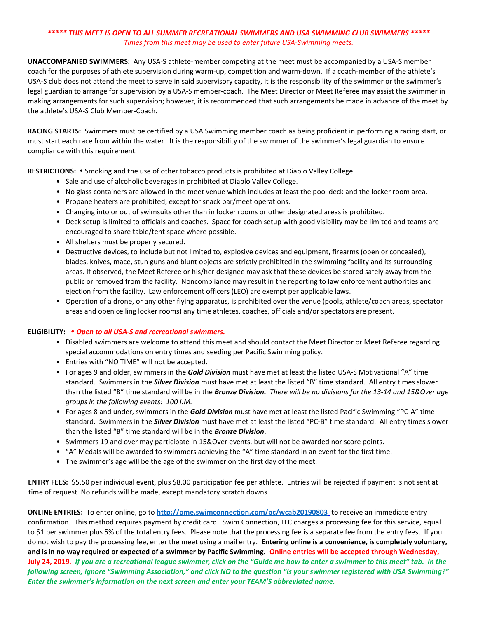**UNACCOMPANIED SWIMMERS:** Any USA‐S athlete‐member competing at the meet must be accompanied by a USA‐S member coach for the purposes of athlete supervision during warm‐up, competition and warm‐down. If a coach‐member of the athlete's USA‐S club does not attend the meet to serve in said supervisory capacity, it is the responsibility of the swimmer or the swimmer's legal guardian to arrange for supervision by a USA‐S member‐coach. The Meet Director or Meet Referee may assist the swimmer in making arrangements for such supervision; however, it is recommended that such arrangements be made in advance of the meet by the athlete's USA‐S Club Member‐Coach.

**RACING STARTS:** Swimmers must be certified by a USA Swimming member coach as being proficient in performing a racing start, or must start each race from within the water. It is the responsibility of the swimmer of the swimmer's legal guardian to ensure compliance with this requirement.

RESTRICTIONS: . Smoking and the use of other tobacco products is prohibited at Diablo Valley College.

- Sale and use of alcoholic beverages in prohibited at Diablo Valley College.
- No glass containers are allowed in the meet venue which includes at least the pool deck and the locker room area.
- Propane heaters are prohibited, except for snack bar/meet operations.
- Changing into or out of swimsuits other than in locker rooms or other designated areas is prohibited.
- Deck setup is limited to officials and coaches. Space for coach setup with good visibility may be limited and teams are encouraged to share table/tent space where possible.
- All shelters must be properly secured.
- Destructive devices, to include but not limited to, explosive devices and equipment, firearms (open or concealed), blades, knives, mace, stun guns and blunt objects are strictly prohibited in the swimming facility and its surrounding areas. If observed, the Meet Referee or his/her designee may ask that these devices be stored safely away from the public or removed from the facility. Noncompliance may result in the reporting to law enforcement authorities and ejection from the facility. Law enforcement officers (LEO) are exempt per applicable laws.
- Operation of a drone, or any other flying apparatus, is prohibited over the venue (pools, athlete/coach areas, spectator areas and open ceiling locker rooms) any time athletes, coaches, officials and/or spectators are present.

### **ELIGIBILITY:**  *Open to all USA-S and recreational swimmers.*

- Disabled swimmers are welcome to attend this meet and should contact the Meet Director or Meet Referee regarding special accommodations on entry times and seeding per Pacific Swimming policy.
- Entries with "NO TIME" will not be accepted.
- For ages 9 and older, swimmers in the *Gold Division* must have met at least the listed USA‐S Motivational "A" time standard. Swimmers in the *Silver Division* must have met at least the listed "B" time standard. All entry times slower than the listed "B" time standard will be in the *Bronze Division.**There will be no divisions for the 13‐14 and 15&Over age groups in the following events: 100 I.M.*
- For ages 8 and under, swimmers in the *Gold Division* must have met at least the listed Pacific Swimming "PC‐A" time standard. Swimmers in the *Silver Division* must have met at least the listed "PC‐B" time standard. All entry times slower than the listed "B" time standard will be in the *Bronze Division*.
- Swimmers 19 and over may participate in 15&Over events, but will not be awarded nor score points.
- "A" Medals will be awarded to swimmers achieving the "A" time standard in an event for the first time.
- The swimmer's age will be the age of the swimmer on the first day of the meet.

**ENTRY FEES:** \$5.50 per individual event, plus \$8.00 participation fee per athlete. Entries will be rejected if payment is not sent at time of request. No refunds will be made, except mandatory scratch downs.

**ONLINE ENTRIES:** To enter online, go to **<http://ome.swimconnection.com/pc/wcab20190803>** to receive an immediate entry confirmation. This method requires payment by credit card. Swim Connection, LLC charges a processing fee for this service, equal to \$1 per swimmer plus 5% of the total entry fees. Please note that the processing fee is a separate fee from the entry fees. If you do not wish to pay the processing fee, enter the meet using a mail entry. **Entering online is a convenience, is completely voluntary, and is in no way required or expected of a swimmer by Pacific Swimming. Online entries will be accepted through Wednesday, July 24, 2019***. If you are a recreational league swimmer, click on the "Guide me how to enter a swimmer to this meet" tab. In the following screen, ignore "Swimming Association," and click NO to the question "Is your swimmer registered with USA Swimming?" Enter the swimmer's information on the next screen and enter your TEAM'S abbreviated name.*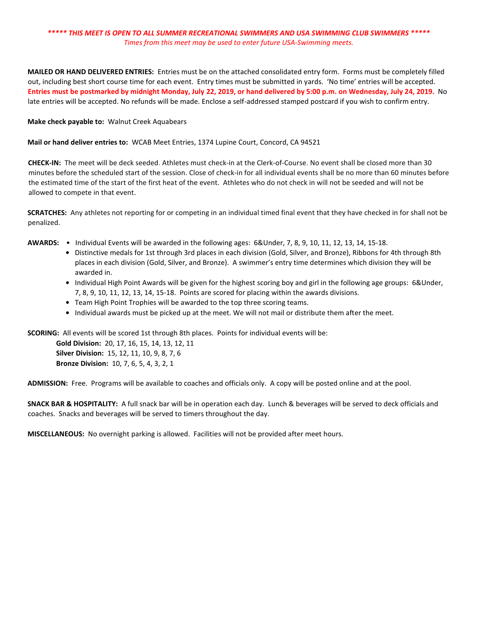**MAILED OR HAND DELIVERED ENTRIES:** Entries must be on the attached consolidated entry form. Forms must be completely filled out, including best short course time for each event. Entry times must be submitted in yards. 'No time' entries will be accepted. **Entries must be postmarked by midnight Monday, July 22, 2019, or hand delivered by 5:00 p.m. on Wednesday, July 24, 2019.** No late entries will be accepted. No refunds will be made. Enclose a self-addressed stamped postcard if you wish to confirm entry.

#### **Make check payable to:** Walnut Creek Aquabears

**Mail or hand deliver entries to:** WCAB Meet Entries, 1374 Lupine Court, Concord, CA 94521

**CHECK‐IN:** The meet will be deck seeded. Athletes must check-in at the Clerk-of-Course. No event shall be closed more than 30 minutes before the scheduled start of the session. Close of check-in for all individual events shall be no more than 60 minutes before the estimated time of the start of the first heat of the event. Athletes who do not check in will not be seeded and will not be allowed to compete in that event.

**SCRATCHES:** Any athletes not reporting for or competing in an individual timed final event that they have checked in for shall not be penalized.

- **AWARDS:** Individual Events will be awarded in the following ages: 6&Under, 7, 8, 9, 10, 11, 12, 13, 14, 15‐18.
	- **•** Distinctive medals for 1st through 3rd places in each division (Gold, Silver, and Bronze), Ribbons for 4th through 8th places in each division (Gold, Silver, and Bronze). A swimmer's entry time determines which division they will be awarded in.
	- **•** Individual High Point Awards will be given for the highest scoring boy and girl in the following age groups: 6&Under, 7, 8, 9, 10, 11, 12, 13, 14, 15‐18. Points are scored for placing within the awards divisions.
	- **•** Team High Point Trophies will be awarded to the top three scoring teams.
	- **•** Individual awards must be picked up at the meet. We will not mail or distribute them after the meet.

**SCORING:** All events will be scored 1st through 8th places. Points for individual events will be:

**Gold Division:** 20, 17, 16, 15, 14, 13, 12, 11 **Silver Division:** 15, 12, 11, 10, 9, 8, 7, 6 **Bronze Division:** 10, 7, 6, 5, 4, 3, 2, 1

**ADMISSION:** Free. Programs will be available to coaches and officials only. A copy will be posted online and at the pool.

**SNACK BAR & HOSPITALITY:** A full snack bar will be in operation each day. Lunch & beverages will be served to deck officials and coaches. Snacks and beverages will be served to timers throughout the day.

**MISCELLANEOUS:** No overnight parking is allowed. Facilities will not be provided after meet hours.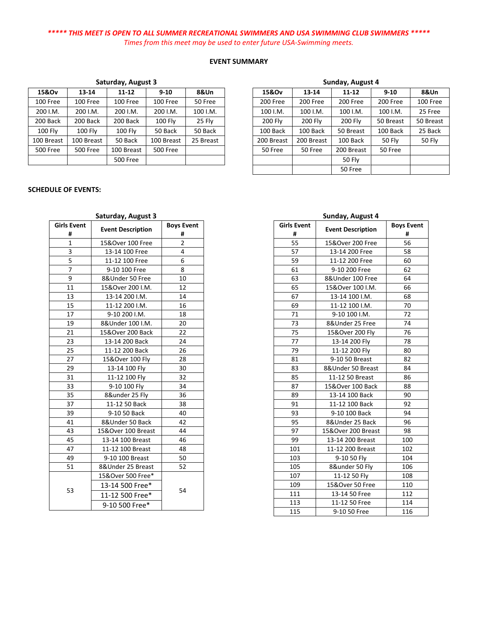#### **EVENT SUMMARY**

| 15&Ov                | 13-14           | $11 - 12$       | $9 - 10$       | 8&Un      |  |
|----------------------|-----------------|-----------------|----------------|-----------|--|
| 100 Free             | 100 Free        | 100 Free        | 100 Free       | 50 Free   |  |
| 200 I.M.<br>200 I.M. |                 | 200 I.M.        | 200 I.M.       | 100 I.M.  |  |
| 200 Back             | 200 Back        | 200 Back        | <b>100 Flv</b> | 25 Fly    |  |
| <b>100 Fly</b>       | <b>100 Fly</b>  | 100 Fly         | 50 Back        | 50 Back   |  |
| 100 Breast           | 100 Breast      | 50 Back         | 100 Breast     | 25 Breast |  |
| <b>500 Free</b>      | <b>500 Free</b> | 100 Breast      | 500 Free       |           |  |
|                      |                 | <b>500 Free</b> |                |           |  |

## **Saturday, August 3**

#### **SCHEDULE OF EVENTS:**

## **Saturday, August 3**

| <b>Girls Event</b> | <b>Event Description</b> | <b>Boys Event</b> |  |  |
|--------------------|--------------------------|-------------------|--|--|
| #                  |                          | #                 |  |  |
| 1                  | 15&Over 100 Free         | 2                 |  |  |
| 3                  | 13-14 100 Free           | 4                 |  |  |
| 5                  | 11-12 100 Free           | 6                 |  |  |
| 7                  | 9-10 100 Free            | 8                 |  |  |
| 9                  | 8&Under 50 Free          | 10                |  |  |
| 11                 | 15&Over 200 I.M.         | 12                |  |  |
| 13                 | 13-14 200 I.M.           | 14                |  |  |
| 15                 | 11-12 200 I.M.           | 16                |  |  |
| 17                 | 9-10 200 I.M.            | 18                |  |  |
| 19                 | 8&Under 100 I.M.         | 20                |  |  |
| 21                 | 15&Over 200 Back         | 22                |  |  |
| 23                 | 13-14 200 Back           | 24                |  |  |
| 25                 | 11-12 200 Back           | 26                |  |  |
| 27                 | 15&Over 100 Fly          | 28                |  |  |
| 29                 | 13-14 100 Fly            | 30                |  |  |
| 31                 | 11-12 100 Fly            | 32                |  |  |
| 33                 | 9-10 100 Fly             | 34                |  |  |
| 35                 | 8&under 25 Fly           | 36                |  |  |
| 37                 | 11-12 50 Back            | 38                |  |  |
| 39                 | 9-10 50 Back             | 40                |  |  |
| 41                 | 8&Under 50 Back          | 42                |  |  |
| 43                 | 15&Over 100 Breast       | 44                |  |  |
| 45                 | 13-14 100 Breast         | 46                |  |  |
| 47                 | 11-12 100 Breast         | 48                |  |  |
| 49                 | 9-10 100 Breast          | 50                |  |  |
| 51                 | 8&Under 25 Breast        | 52                |  |  |
|                    | 15&Over 500 Free*        |                   |  |  |
|                    | 13-14 500 Free*          |                   |  |  |
| 53                 | 11-12 500 Free*          | 54                |  |  |
|                    | 9-10 500 Free*           |                   |  |  |

| Sunday, August 4 |            |               |               |               |  |  |  |  |  |
|------------------|------------|---------------|---------------|---------------|--|--|--|--|--|
| 15&Ov            | 13-14      | $11 - 12$     | $9 - 10$      | 8&Un          |  |  |  |  |  |
| 200 Free         | 200 Free   | 200 Free      | 200 Free      | 100 Free      |  |  |  |  |  |
| 100 I.M.         | 100 I.M.   | 100 I.M.      | 100 I.M.      | 25 Free       |  |  |  |  |  |
| 200 Fly          | 200 Fly    | 200 Fly       | 50 Breast     | 50 Breast     |  |  |  |  |  |
| 100 Back         | 100 Back   | 50 Breast     | 100 Back      | 25 Back       |  |  |  |  |  |
| 200 Breast       | 200 Breast | 100 Back      | <b>50 Fly</b> | <b>50 Fly</b> |  |  |  |  |  |
| 50 Free          | 50 Free    | 200 Breast    | 50 Free       |               |  |  |  |  |  |
|                  |            | <b>50 Fly</b> |               |               |  |  |  |  |  |
|                  |            | 50 Free       |               |               |  |  |  |  |  |

## **Sunday, August 4**

| <b>Girls Event</b><br># | <b>Event Description</b> | <b>Boys Event</b><br># |  |
|-------------------------|--------------------------|------------------------|--|
| 55                      | 15&Over 200 Free         | 56                     |  |
| 57                      | 13-14 200 Free           | 58                     |  |
| 59                      | 11-12 200 Free           | 60                     |  |
| 61                      | 9-10 200 Free            | 62                     |  |
| 63                      | 8&Under 100 Free         | 64                     |  |
| 65                      | 15&Over 100 I.M.         | 66                     |  |
| 67                      | 13-14 100 I.M.           | 68                     |  |
| 69                      | 11-12 100 I.M.           | 70                     |  |
| 71                      | 9-10 100 I.M.            | 72                     |  |
| 73                      | 8&Under 25 Free          | 74                     |  |
| 75                      | 15&Over 200 Fly          | 76                     |  |
| 77                      | 13-14 200 Fly            | 78                     |  |
| 79                      | 11-12 200 Fly            | 80                     |  |
| 81                      | 9-10 50 Breast           | 82                     |  |
| 83                      | 8&Under 50 Breast        | 84                     |  |
| 85                      | 11-12 50 Breast          | 86                     |  |
| 87                      | 15&Over 100 Back         | 88                     |  |
| 89                      | 13-14 100 Back           | 90                     |  |
| 91                      | 11-12 100 Back           | 92                     |  |
| 93                      | 9-10 100 Back            | 94                     |  |
| 95                      | 8&Under 25 Back          | 96                     |  |
| 97                      | 15&Over 200 Breast       | 98                     |  |
| 99                      | 13-14 200 Breast         | 100                    |  |
| 101                     | 11-12 200 Breast         | 102                    |  |
| 103                     | 9-10 50 Fly              | 104                    |  |
| 105                     | 8&under 50 Fly           | 106                    |  |
| 107                     | 11-12 50 Fly             | 108                    |  |
| 109                     | 15&Over 50 Free          | 110                    |  |
| 111                     | 13-14 50 Free            | 112                    |  |
| 113                     | 11-12 50 Free            | 114                    |  |
| 115                     | 9-10 50 Free             | 116                    |  |